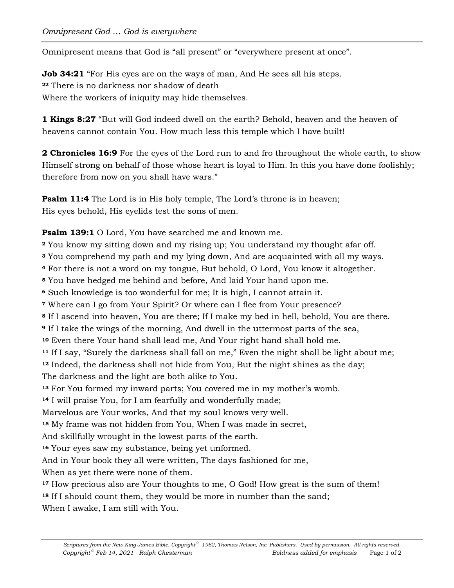Omnipresent means that God is "all present" or "everywhere present at once".

**Job 34:21** "For His eyes are on the ways of man, And He sees all his steps. **<sup>22</sup>** There is no darkness nor shadow of death Where the workers of iniquity may hide themselves.

**1 Kings 8:27** "But will God indeed dwell on the earth? Behold, heaven and the heaven of heavens cannot contain You. How much less this temple which I have built!

**2 Chronicles 16:9** For the eyes of the Lord run to and fro throughout the whole earth, to show Himself strong on behalf of those whose heart is loyal to Him. In this you have done foolishly; therefore from now on you shall have wars."

**Psalm 11:4** The Lord is in His holy temple, The Lord's throne is in heaven; His eyes behold, His eyelids test the sons of men.

**Psalm 139:1** O Lord, You have searched me and known me.

**<sup>2</sup>** You know my sitting down and my rising up; You understand my thought afar off.

**<sup>3</sup>** You comprehend my path and my lying down, And are acquainted with all my ways.

**<sup>4</sup>** For there is not a word on my tongue, But behold, O Lord, You know it altogether.

**<sup>5</sup>** You have hedged me behind and before, And laid Your hand upon me.

**<sup>6</sup>** Such knowledge is too wonderful for me; It is high, I cannot attain it.

**<sup>7</sup>** Where can I go from Your Spirit? Or where can I flee from Your presence?

**<sup>8</sup>** If I ascend into heaven, You are there; If I make my bed in hell, behold, You are there.

**<sup>9</sup>** If I take the wings of the morning, And dwell in the uttermost parts of the sea,

**<sup>10</sup>** Even there Your hand shall lead me, And Your right hand shall hold me.

**<sup>11</sup>** If I say, "Surely the darkness shall fall on me," Even the night shall be light about me; **<sup>12</sup>** Indeed, the darkness shall not hide from You, But the night shines as the day; The darkness and the light are both alike to You.

**<sup>13</sup>** For You formed my inward parts; You covered me in my mother's womb.

**<sup>14</sup>** I will praise You, for I am fearfully and wonderfully made;

Marvelous are Your works, And that my soul knows very well.

**<sup>15</sup>** My frame was not hidden from You, When I was made in secret,

And skillfully wrought in the lowest parts of the earth.

**<sup>16</sup>** Your eyes saw my substance, being yet unformed.

And in Your book they all were written, The days fashioned for me,

When as yet there were none of them.

**<sup>17</sup>** How precious also are Your thoughts to me, O God! How great is the sum of them!

<sup>18</sup> If I should count them, they would be more in number than the sand;

When I awake, I am still with You.